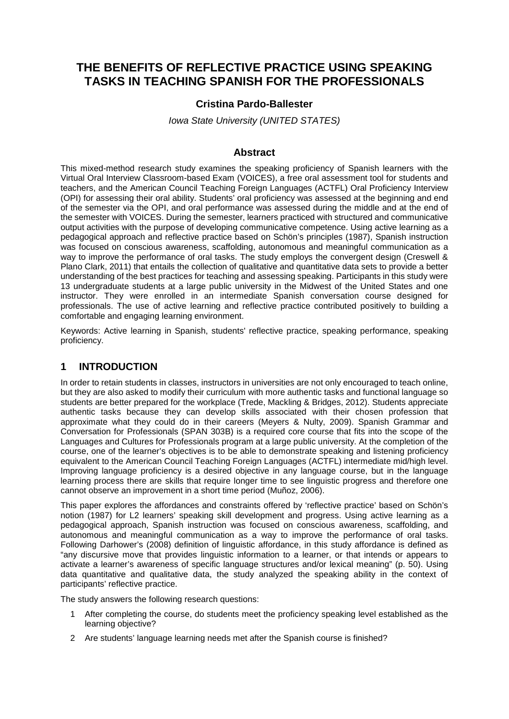# **THE BENEFITS OF REFLECTIVE PRACTICE USING SPEAKING TASKS IN TEACHING SPANISH FOR THE PROFESSIONALS**

### **Cristina Pardo-Ballester**

#### *Iowa State University (UNITED STATES)*

### **Abstract**

This mixed-method research study examines the speaking proficiency of Spanish learners with the Virtual Oral Interview Classroom-based Exam (VOICES), a free oral assessment tool for students and teachers, and the American Council Teaching Foreign Languages (ACTFL) Oral Proficiency Interview (OPI) for assessing their oral ability. Students' oral proficiency was assessed at the beginning and end of the semester via the OPI, and oral performance was assessed during the middle and at the end of the semester with VOICES. During the semester, learners practiced with structured and communicative output activities with the purpose of developing communicative competence. Using active learning as a pedagogical approach and reflective practice based on Schön's principles (1987), Spanish instruction was focused on conscious awareness, scaffolding, autonomous and meaningful communication as a way to improve the performance of oral tasks. The study employs the convergent design (Creswell & Plano Clark, 2011) that entails the collection of qualitative and quantitative data sets to provide a better understanding of the best practices for teaching and assessing speaking. Participants in this study were 13 undergraduate students at a large public university in the Midwest of the United States and one instructor. They were enrolled in an intermediate Spanish conversation course designed for professionals. The use of active learning and reflective practice contributed positively to building a comfortable and engaging learning environment.

Keywords: Active learning in Spanish, students' reflective practice, speaking performance, speaking proficiency.

### **1 INTRODUCTION**

In order to retain students in classes, instructors in universities are not only encouraged to teach online, but they are also asked to modify their curriculum with more authentic tasks and functional language so students are better prepared for the workplace (Trede, Mackling & Bridges, 2012). Students appreciate authentic tasks because they can develop skills associated with their chosen profession that approximate what they could do in their careers (Meyers & Nulty, 2009). Spanish Grammar and Conversation for Professionals (SPAN 303B) is a required core course that fits into the scope of the Languages and Cultures for Professionals program at a large public university. At the completion of the course, one of the learner's objectives is to be able to demonstrate speaking and listening proficiency equivalent to the American Council Teaching Foreign Languages (ACTFL) intermediate mid/high level. Improving language proficiency is a desired objective in any language course, but in the language learning process there are skills that require longer time to see linguistic progress and therefore one cannot observe an improvement in a short time period (Muñoz, 2006).

This paper explores the affordances and constraints offered by 'reflective practice' based on Schön's notion (1987) for L2 learners' speaking skill development and progress. Using active learning as a pedagogical approach, Spanish instruction was focused on conscious awareness, scaffolding, and autonomous and meaningful communication as a way to improve the performance of oral tasks. Following Darhower's (2008) definition of linguistic affordance, in this study affordance is defined as "any discursive move that provides linguistic information to a learner, or that intends or appears to activate a learner's awareness of specific language structures and/or lexical meaning" (p. 50). Using data quantitative and qualitative data, the study analyzed the speaking ability in the context of participants' reflective practice.

The study answers the following research questions:

- 1 After completing the course, do students meet the proficiency speaking level established as the learning objective?
- 2 Are students' language learning needs met after the Spanish course is finished?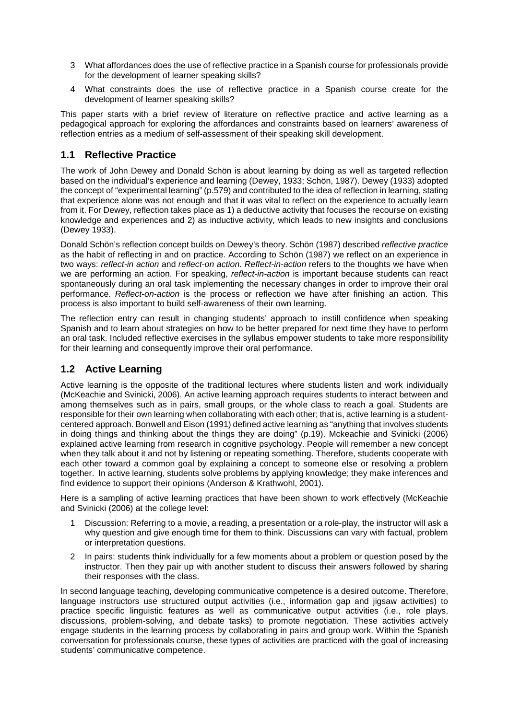- 3 What affordances does the use of reflective practice in a Spanish course for professionals provide for the development of learner speaking skills?
- 4 What constraints does the use of reflective practice in a Spanish course create for the development of learner speaking skills?

This paper starts with a brief review of literature on reflective practice and active learning as a pedagogical approach for exploring the affordances and constraints based on learners' awareness of reflection entries as a medium of self-assessment of their speaking skill development.

## **1.1 Reflective Practice**

The work of John Dewey and Donald Schön is about learning by doing as well as targeted reflection based on the individual's experience and learning (Dewey, 1933; Schön, 1987). Dewey (1933) adopted the concept of "experimental learning" (p.579) and contributed to the idea of reflection in learning, stating that experience alone was not enough and that it was vital to reflect on the experience to actually learn from it. For Dewey, reflection takes place as 1) a deductive activity that focuses the recourse on existing knowledge and experiences and 2) as inductive activity, which leads to new insights and conclusions (Dewey 1933).

Donald Schön's reflection concept builds on Dewey's theory. Schön (1987) described *reflective practice* as the habit of reflecting in and on practice. According to Schön (1987) we reflect on an experience in two ways: *reflect-in action* and *reflect-on action*. *Reflect-in-action* refers to the thoughts we have when we are performing an action. For speaking, *reflect-in-action* is important because students can react spontaneously during an oral task implementing the necessary changes in order to improve their oral performance. *Reflect-on-action* is the process or reflection we have after finishing an action. This process is also important to build self-awareness of their own learning.

The reflection entry can result in changing students' approach to instill confidence when speaking Spanish and to learn about strategies on how to be better prepared for next time they have to perform an oral task. Included reflective exercises in the syllabus empower students to take more responsibility for their learning and consequently improve their oral performance.

## **1.2 Active Learning**

Active learning is the opposite of the traditional lectures where students listen and work individually (McKeachie and Svinicki, 2006). An active learning approach requires students to interact between and among themselves such as in pairs, small groups, or the whole class to reach a goal. Students are responsible for their own learning when collaborating with each other; that is, active learning is a studentcentered approach. Bonwell and Eison (1991) defined active learning as "anything that involves students in doing things and thinking about the things they are doing" (p.19). Mckeachie and Svinicki (2006) explained active learning from research in cognitive psychology. People will remember a new concept when they talk about it and not by listening or repeating something. Therefore, students cooperate with each other toward a common goal by explaining a concept to someone else or resolving a problem together. In active learning, students solve problems by applying knowledge; they make inferences and find evidence to support their opinions (Anderson & Krathwohl, 2001).

Here is a sampling of active learning practices that have been shown to work effectively (McKeachie and Svinicki (2006) at the college level:

- 1 Discussion: Referring to a movie, a reading, a presentation or a role-play, the instructor will ask a why question and give enough time for them to think. Discussions can vary with factual, problem or interpretation questions.
- 2 In pairs: students think individually for a few moments about a problem or question posed by the instructor. Then they pair up with another student to discuss their answers followed by sharing their responses with the class.

In second language teaching, developing communicative competence is a desired outcome. Therefore, language instructors use structured output activities (i.e., information gap and jigsaw activities) to practice specific linguistic features as well as communicative output activities (i.e., role plays, discussions, problem-solving, and debate tasks) to promote negotiation. These activities actively engage students in the learning process by collaborating in pairs and group work. Within the Spanish conversation for professionals course, these types of activities are practiced with the goal of increasing students' communicative competence.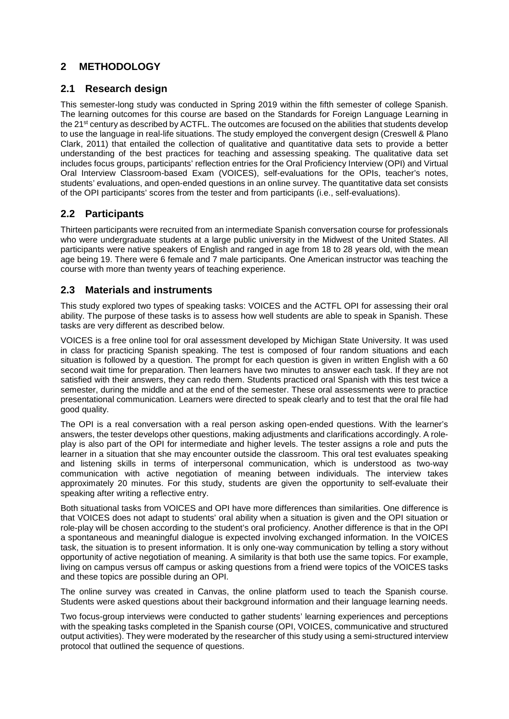# **2 METHODOLOGY**

## **2.1 Research design**

This semester-long study was conducted in Spring 2019 within the fifth semester of college Spanish. The learning outcomes for this course are based on the Standards for Foreign Language Learning in the 21<sup>st</sup> century as described by ACTFL. The outcomes are focused on the abilities that students develop to use the language in real-life situations. The study employed the convergent design (Creswell & Plano Clark, 2011) that entailed the collection of qualitative and quantitative data sets to provide a better understanding of the best practices for teaching and assessing speaking. The qualitative data set includes focus groups, participants' reflection entries for the Oral Proficiency Interview (OPI) and Virtual Oral Interview Classroom-based Exam (VOICES), self-evaluations for the OPIs, teacher's notes, students' evaluations, and open-ended questions in an online survey. The quantitative data set consists of the OPI participants' scores from the tester and from participants (i.e., self-evaluations).

## **2.2 Participants**

Thirteen participants were recruited from an intermediate Spanish conversation course for professionals who were undergraduate students at a large public university in the Midwest of the United States. All participants were native speakers of English and ranged in age from 18 to 28 years old, with the mean age being 19. There were 6 female and 7 male participants. One American instructor was teaching the course with more than twenty years of teaching experience.

## **2.3 Materials and instruments**

This study explored two types of speaking tasks: VOICES and the ACTFL OPI for assessing their oral ability. The purpose of these tasks is to assess how well students are able to speak in Spanish. These tasks are very different as described below.

VOICES is a free online tool for oral assessment developed by Michigan State University. It was used in class for practicing Spanish speaking. The test is composed of four random situations and each situation is followed by a question. The prompt for each question is given in written English with a 60 second wait time for preparation. Then learners have two minutes to answer each task. If they are not satisfied with their answers, they can redo them. Students practiced oral Spanish with this test twice a semester, during the middle and at the end of the semester. These oral assessments were to practice presentational communication. Learners were directed to speak clearly and to test that the oral file had good quality.

The OPI is a real conversation with a real person asking open-ended questions. With the learner's answers, the tester develops other questions, making adjustments and clarifications accordingly. A roleplay is also part of the OPI for intermediate and higher levels. The tester assigns a role and puts the learner in a situation that she may encounter outside the classroom. This oral test evaluates speaking and listening skills in terms of interpersonal communication, which is understood as two-way communication with active negotiation of meaning between individuals. The interview takes approximately 20 minutes. For this study, students are given the opportunity to self-evaluate their speaking after writing a reflective entry.

Both situational tasks from VOICES and OPI have more differences than similarities. One difference is that VOICES does not adapt to students' oral ability when a situation is given and the OPI situation or role-play will be chosen according to the student's oral proficiency. Another difference is that in the OPI a spontaneous and meaningful dialogue is expected involving exchanged information. In the VOICES task, the situation is to present information. It is only one-way communication by telling a story without opportunity of active negotiation of meaning. A similarity is that both use the same topics. For example, living on campus versus off campus or asking questions from a friend were topics of the VOICES tasks and these topics are possible during an OPI.

The online survey was created in Canvas, the online platform used to teach the Spanish course. Students were asked questions about their background information and their language learning needs.

Two focus-group interviews were conducted to gather students' learning experiences and perceptions with the speaking tasks completed in the Spanish course (OPI, VOICES, communicative and structured output activities). They were moderated by the researcher of this study using a semi-structured interview protocol that outlined the sequence of questions.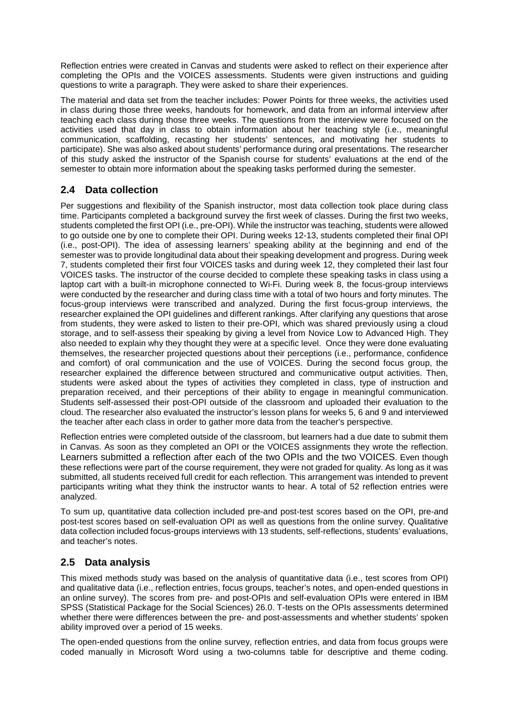Reflection entries were created in Canvas and students were asked to reflect on their experience after completing the OPIs and the VOICES assessments. Students were given instructions and guiding questions to write a paragraph. They were asked to share their experiences.

The material and data set from the teacher includes: Power Points for three weeks, the activities used in class during those three weeks, handouts for homework, and data from an informal interview after teaching each class during those three weeks. The questions from the interview were focused on the activities used that day in class to obtain information about her teaching style (i.e., meaningful communication, scaffolding, recasting her students' sentences, and motivating her students to participate). She was also asked about students' performance during oral presentations. The researcher of this study asked the instructor of the Spanish course for students' evaluations at the end of the semester to obtain more information about the speaking tasks performed during the semester.

## **2.4 Data collection**

Per suggestions and flexibility of the Spanish instructor, most data collection took place during class time. Participants completed a background survey the first week of classes. During the first two weeks, students completed the first OPI (i.e., pre-OPI). While the instructor was teaching, students were allowed to go outside one by one to complete their OPI. During weeks 12-13, students completed their final OPI (i.e., post-OPI). The idea of assessing learners' speaking ability at the beginning and end of the semester was to provide longitudinal data about their speaking development and progress. During week 7, students completed their first four VOICES tasks and during week 12, they completed their last four VOICES tasks. The instructor of the course decided to complete these speaking tasks in class using a laptop cart with a built-in microphone connected to Wi-Fi. During week 8, the focus-group interviews were conducted by the researcher and during class time with a total of two hours and forty minutes. The focus-group interviews were transcribed and analyzed. During the first focus-group interviews, the researcher explained the OPI guidelines and different rankings. After clarifying any questions that arose from students, they were asked to listen to their pre-OPI, which was shared previously using a cloud storage, and to self-assess their speaking by giving a level from Novice Low to Advanced High. They also needed to explain why they thought they were at a specific level. Once they were done evaluating themselves, the researcher projected questions about their perceptions (i.e., performance, confidence and comfort) of oral communication and the use of VOICES. During the second focus group, the researcher explained the difference between structured and communicative output activities. Then, students were asked about the types of activities they completed in class, type of instruction and preparation received, and their perceptions of their ability to engage in meaningful communication. Students self-assessed their post-OPI outside of the classroom and uploaded their evaluation to the cloud. The researcher also evaluated the instructor's lesson plans for weeks 5, 6 and 9 and interviewed the teacher after each class in order to gather more data from the teacher's perspective.

Reflection entries were completed outside of the classroom, but learners had a due date to submit them in Canvas. As soon as they completed an OPI or the VOICES assignments they wrote the reflection. Learners submitted a reflection after each of the two OPIs and the two VOICES. Even though these reflections were part of the course requirement, they were not graded for quality. As long as it was submitted, all students received full credit for each reflection. This arrangement was intended to prevent participants writing what they think the instructor wants to hear. A total of 52 reflection entries were analyzed.

To sum up, quantitative data collection included pre-and post-test scores based on the OPI, pre-and post-test scores based on self-evaluation OPI as well as questions from the online survey. Qualitative data collection included focus-groups interviews with 13 students, self-reflections, students' evaluations, and teacher's notes.

## **2.5 Data analysis**

This mixed methods study was based on the analysis of quantitative data (i.e., test scores from OPI) and qualitative data (i.e., reflection entries, focus groups, teacher's notes, and open-ended questions in an online survey). The scores from pre- and post-OPIs and self-evaluation OPIs were entered in IBM SPSS (Statistical Package for the Social Sciences) 26.0. T-tests on the OPIs assessments determined whether there were differences between the pre- and post-assessments and whether students' spoken ability improved over a period of 15 weeks.

The open-ended questions from the online survey, reflection entries, and data from focus groups were coded manually in Microsoft Word using a two-columns table for descriptive and theme coding.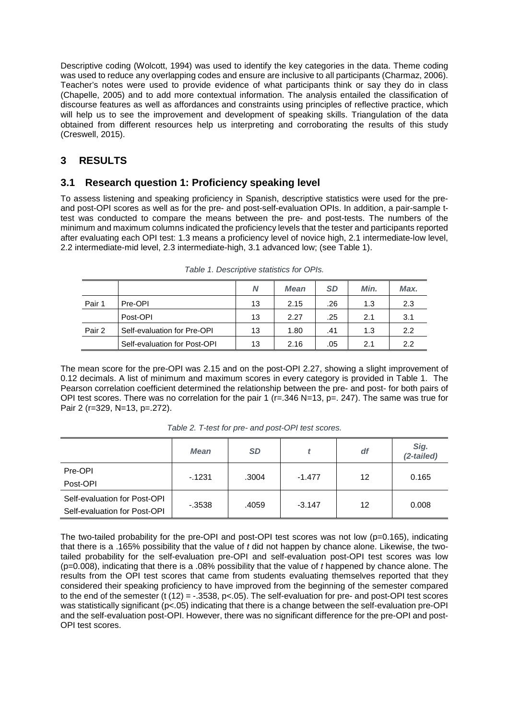Descriptive coding (Wolcott, 1994) was used to identify the key categories in the data. Theme coding was used to reduce any overlapping codes and ensure are inclusive to all participants (Charmaz, 2006). Teacher's notes were used to provide evidence of what participants think or say they do in class (Chapelle, 2005) and to add more contextual information. The analysis entailed the classification of discourse features as well as affordances and constraints using principles of reflective practice, which will help us to see the improvement and development of speaking skills. Triangulation of the data obtained from different resources help us interpreting and corroborating the results of this study (Creswell, 2015).

## **3 RESULTS**

## **3.1 Research question 1: Proficiency speaking level**

To assess listening and speaking proficiency in Spanish, descriptive statistics were used for the preand post-OPI scores as well as for the pre- and post-self-evaluation OPIs. In addition, a pair-sample ttest was conducted to compare the means between the pre- and post-tests. The numbers of the minimum and maximum columns indicated the proficiency levels that the tester and participants reported after evaluating each OPI test: 1.3 means a proficiency level of novice high, 2.1 intermediate-low level, 2.2 intermediate-mid level, 2.3 intermediate-high, 3.1 advanced low; (see Table 1).

|        |                              | N  | <b>Mean</b> | <b>SD</b> | Min. | Max. |
|--------|------------------------------|----|-------------|-----------|------|------|
| Pair 1 | Pre-OPI                      | 13 | 2.15        | .26       | 1.3  | 2.3  |
|        | Post-OPI                     | 13 | 2.27        | .25       | 2.1  | 3.1  |
| Pair 2 | Self-evaluation for Pre-OPI  | 13 | 1.80        | .41       | 1.3  | 2.2  |
|        | Self-evaluation for Post-OPI | 13 | 2.16        | .05       | 2.1  | 2.2  |

| Table 1. Descriptive statistics for OPIs. |  |  |  |  |  |
|-------------------------------------------|--|--|--|--|--|
|-------------------------------------------|--|--|--|--|--|

The mean score for the pre-OPI was 2.15 and on the post-OPI 2.27, showing a slight improvement of 0.12 decimals. A list of minimum and maximum scores in every category is provided in Table 1. The Pearson correlation coefficient determined the relationship between the pre- and post- for both pairs of OPI test scores. There was no correlation for the pair 1 ( $r = 346$  N=13, p=, 247). The same was true for Pair 2 (r=329, N=13, p=.272).

|                                                              | <b>Mean</b> | <b>SD</b> |          | df | Sig.<br>(2-tailed) |
|--------------------------------------------------------------|-------------|-----------|----------|----|--------------------|
| Pre-OPI<br>Post-OPI                                          | $-1231$     | .3004     | $-1.477$ | 12 | 0.165              |
| Self-evaluation for Post-OPI<br>Self-evaluation for Post-OPI | $-.3538$    | .4059     | $-3.147$ | 12 | 0.008              |

*Table 2. T-test for pre- and post-OPI test scores.*

The two-tailed probability for the pre-OPI and post-OPI test scores was not low ( $p=0.165$ ), indicating that there is a .165% possibility that the value of *t* did not happen by chance alone. Likewise, the twotailed probability for the self-evaluation pre-OPI and self-evaluation post-OPI test scores was low (p=0.008), indicating that there is a .08% possibility that the value of *t* happened by chance alone. The results from the OPI test scores that came from students evaluating themselves reported that they considered their speaking proficiency to have improved from the beginning of the semester compared to the end of the semester (t (12) = -.3538, p<.05). The self-evaluation for pre- and post-OPI test scores was statistically significant (p<.05) indicating that there is a change between the self-evaluation pre-OPI and the self-evaluation post-OPI. However, there was no significant difference for the pre-OPI and post-OPI test scores.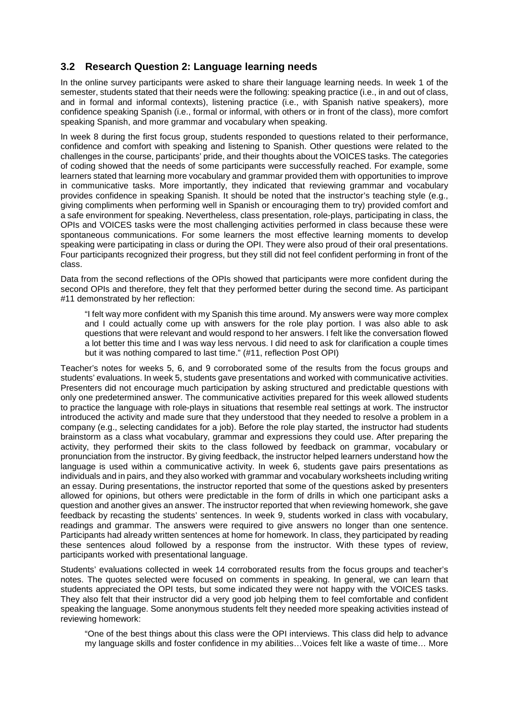## **3.2 Research Question 2: Language learning needs**

In the online survey participants were asked to share their language learning needs. In week 1 of the semester, students stated that their needs were the following: speaking practice (i.e., in and out of class, and in formal and informal contexts), listening practice (i.e., with Spanish native speakers), more confidence speaking Spanish (i.e., formal or informal, with others or in front of the class), more comfort speaking Spanish, and more grammar and vocabulary when speaking.

In week 8 during the first focus group, students responded to questions related to their performance, confidence and comfort with speaking and listening to Spanish. Other questions were related to the challenges in the course, participants' pride, and their thoughts about the VOICES tasks. The categories of coding showed that the needs of some participants were successfully reached. For example, some learners stated that learning more vocabulary and grammar provided them with opportunities to improve in communicative tasks. More importantly, they indicated that reviewing grammar and vocabulary provides confidence in speaking Spanish. It should be noted that the instructor's teaching style (e.g., giving compliments when performing well in Spanish or encouraging them to try) provided comfort and a safe environment for speaking. Nevertheless, class presentation, role-plays, participating in class, the OPIs and VOICES tasks were the most challenging activities performed in class because these were spontaneous communications. For some learners the most effective learning moments to develop speaking were participating in class or during the OPI. They were also proud of their oral presentations. Four participants recognized their progress, but they still did not feel confident performing in front of the class.

Data from the second reflections of the OPIs showed that participants were more confident during the second OPIs and therefore, they felt that they performed better during the second time. As participant #11 demonstrated by her reflection:

"I felt way more confident with my Spanish this time around. My answers were way more complex and I could actually come up with answers for the role play portion. I was also able to ask questions that were relevant and would respond to her answers. I felt like the conversation flowed a lot better this time and I was way less nervous. I did need to ask for clarification a couple times but it was nothing compared to last time." (#11, reflection Post OPI)

Teacher's notes for weeks 5, 6, and 9 corroborated some of the results from the focus groups and students' evaluations. In week 5, students gave presentations and worked with communicative activities. Presenters did not encourage much participation by asking structured and predictable questions with only one predetermined answer. The communicative activities prepared for this week allowed students to practice the language with role-plays in situations that resemble real settings at work. The instructor introduced the activity and made sure that they understood that they needed to resolve a problem in a company (e.g., selecting candidates for a job). Before the role play started, the instructor had students brainstorm as a class what vocabulary, grammar and expressions they could use. After preparing the activity, they performed their skits to the class followed by feedback on grammar, vocabulary or pronunciation from the instructor. By giving feedback, the instructor helped learners understand how the language is used within a communicative activity. In week 6, students gave pairs presentations as individuals and in pairs, and they also worked with grammar and vocabulary worksheets including writing an essay. During presentations, the instructor reported that some of the questions asked by presenters allowed for opinions, but others were predictable in the form of drills in which one participant asks a question and another gives an answer. The instructor reported that when reviewing homework, she gave feedback by recasting the students' sentences. In week 9, students worked in class with vocabulary, readings and grammar. The answers were required to give answers no longer than one sentence. Participants had already written sentences at home for homework. In class, they participated by reading these sentences aloud followed by a response from the instructor. With these types of review, participants worked with presentational language.

Students' evaluations collected in week 14 corroborated results from the focus groups and teacher's notes. The quotes selected were focused on comments in speaking. In general, we can learn that students appreciated the OPI tests, but some indicated they were not happy with the VOICES tasks. They also felt that their instructor did a very good job helping them to feel comfortable and confident speaking the language. Some anonymous students felt they needed more speaking activities instead of reviewing homework:

"One of the best things about this class were the OPI interviews. This class did help to advance my language skills and foster confidence in my abilities…Voices felt like a waste of time… More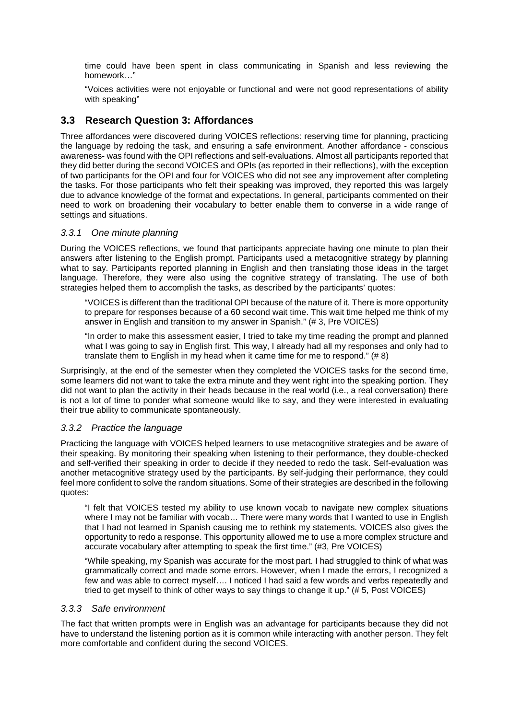time could have been spent in class communicating in Spanish and less reviewing the homework…"

"Voices activities were not enjoyable or functional and were not good representations of ability with speaking"

## **3.3 Research Question 3: Affordances**

Three affordances were discovered during VOICES reflections: reserving time for planning, practicing the language by redoing the task, and ensuring a safe environment. Another affordance - conscious awareness- was found with the OPI reflections and self-evaluations. Almost all participants reported that they did better during the second VOICES and OPIs (as reported in their reflections), with the exception of two participants for the OPI and four for VOICES who did not see any improvement after completing the tasks. For those participants who felt their speaking was improved, they reported this was largely due to advance knowledge of the format and expectations. In general, participants commented on their need to work on broadening their vocabulary to better enable them to converse in a wide range of settings and situations.

### *3.3.1 One minute planning*

During the VOICES reflections, we found that participants appreciate having one minute to plan their answers after listening to the English prompt. Participants used a metacognitive strategy by planning what to say. Participants reported planning in English and then translating those ideas in the target language. Therefore, they were also using the cognitive strategy of translating. The use of both strategies helped them to accomplish the tasks, as described by the participants' quotes:

"VOICES is different than the traditional OPI because of the nature of it. There is more opportunity to prepare for responses because of a 60 second wait time. This wait time helped me think of my answer in English and transition to my answer in Spanish." (# 3, Pre VOICES)

"In order to make this assessment easier, I tried to take my time reading the prompt and planned what I was going to say in English first. This way, I already had all my responses and only had to translate them to English in my head when it came time for me to respond." (# 8)

Surprisingly, at the end of the semester when they completed the VOICES tasks for the second time, some learners did not want to take the extra minute and they went right into the speaking portion. They did not want to plan the activity in their heads because in the real world (i.e., a real conversation) there is not a lot of time to ponder what someone would like to say, and they were interested in evaluating their true ability to communicate spontaneously.

#### *3.3.2 Practice the language*

Practicing the language with VOICES helped learners to use metacognitive strategies and be aware of their speaking. By monitoring their speaking when listening to their performance, they double-checked and self-verified their speaking in order to decide if they needed to redo the task. Self-evaluation was another metacognitive strategy used by the participants. By self-judging their performance, they could feel more confident to solve the random situations. Some of their strategies are described in the following quotes:

"I felt that VOICES tested my ability to use known vocab to navigate new complex situations where I may not be familiar with vocab… There were many words that I wanted to use in English that I had not learned in Spanish causing me to rethink my statements. VOICES also gives the opportunity to redo a response. This opportunity allowed me to use a more complex structure and accurate vocabulary after attempting to speak the first time." (#3, Pre VOICES)

"While speaking, my Spanish was accurate for the most part. I had struggled to think of what was grammatically correct and made some errors. However, when I made the errors, I recognized a few and was able to correct myself…. I noticed I had said a few words and verbs repeatedly and tried to get myself to think of other ways to say things to change it up." (# 5, Post VOICES)

#### *3.3.3 Safe environment*

The fact that written prompts were in English was an advantage for participants because they did not have to understand the listening portion as it is common while interacting with another person. They felt more comfortable and confident during the second VOICES.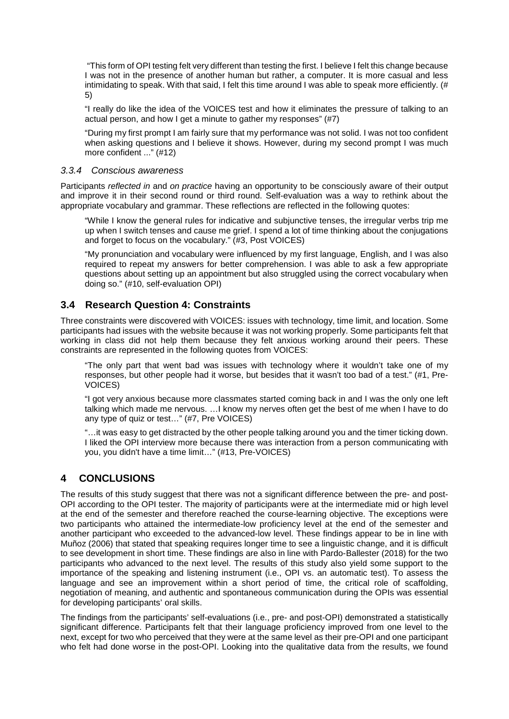"This form of OPI testing felt very different than testing the first. I believe I felt this change because I was not in the presence of another human but rather, a computer. It is more casual and less intimidating to speak. With that said, I felt this time around I was able to speak more efficiently. (# 5)

"I really do like the idea of the VOICES test and how it eliminates the pressure of talking to an actual person, and how I get a minute to gather my responses"  $(H7)$ 

"During my first prompt I am fairly sure that my performance was not solid. I was not too confident when asking questions and I believe it shows. However, during my second prompt I was much more confident ..." (#12)

#### *3.3.4 Conscious awareness*

Participants *reflected in* and *on practice* having an opportunity to be consciously aware of their output and improve it in their second round or third round. Self-evaluation was a way to rethink about the appropriate vocabulary and grammar. These reflections are reflected in the following quotes:

"While I know the general rules for indicative and subjunctive tenses, the irregular verbs trip me up when I switch tenses and cause me grief. I spend a lot of time thinking about the conjugations and forget to focus on the vocabulary." (#3, Post VOICES)

"My pronunciation and vocabulary were influenced by my first language, English, and I was also required to repeat my answers for better comprehension. I was able to ask a few appropriate questions about setting up an appointment but also struggled using the correct vocabulary when doing so." (#10, self-evaluation OPI)

### **3.4 Research Question 4: Constraints**

Three constraints were discovered with VOICES: issues with technology, time limit, and location. Some participants had issues with the website because it was not working properly. Some participants felt that working in class did not help them because they felt anxious working around their peers. These constraints are represented in the following quotes from VOICES:

"The only part that went bad was issues with technology where it wouldn't take one of my responses, but other people had it worse, but besides that it wasn't too bad of a test." (#1, Pre-VOICES)

"I got very anxious because more classmates started coming back in and I was the only one left talking which made me nervous. …I know my nerves often get the best of me when I have to do any type of quiz or test…" (#7, Pre VOICES)

"…it was easy to get distracted by the other people talking around you and the timer ticking down. I liked the OPI interview more because there was interaction from a person communicating with you, you didn't have a time limit…" (#13, Pre-VOICES)

## **4 CONCLUSIONS**

The results of this study suggest that there was not a significant difference between the pre- and post-OPI according to the OPI tester. The majority of participants were at the intermediate mid or high level at the end of the semester and therefore reached the course-learning objective. The exceptions were two participants who attained the intermediate-low proficiency level at the end of the semester and another participant who exceeded to the advanced-low level. These findings appear to be in line with Muñoz (2006) that stated that speaking requires longer time to see a linguistic change, and it is difficult to see development in short time. These findings are also in line with Pardo-Ballester (2018) for the two participants who advanced to the next level. The results of this study also yield some support to the importance of the speaking and listening instrument (i.e., OPI vs. an automatic test). To assess the language and see an improvement within a short period of time, the critical role of scaffolding, negotiation of meaning, and authentic and spontaneous communication during the OPIs was essential for developing participants' oral skills.

The findings from the participants' self-evaluations (i.e., pre- and post-OPI) demonstrated a statistically significant difference. Participants felt that their language proficiency improved from one level to the next, except for two who perceived that they were at the same level as their pre-OPI and one participant who felt had done worse in the post-OPI. Looking into the qualitative data from the results, we found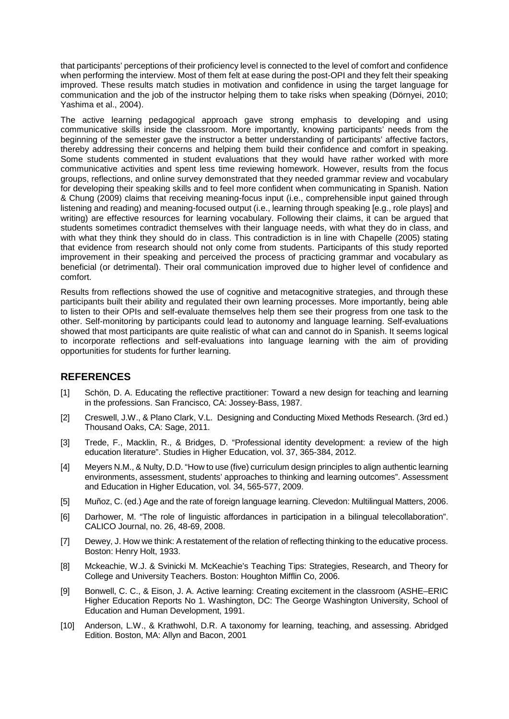that participants' perceptions of their proficiency level is connected to the level of comfort and confidence when performing the interview. Most of them felt at ease during the post-OPI and they felt their speaking improved. These results match studies in motivation and confidence in using the target language for communication and the job of the instructor helping them to take risks when speaking (Dörnyei, 2010; Yashima et al., 2004).

The active learning pedagogical approach gave strong emphasis to developing and using communicative skills inside the classroom. More importantly, knowing participants' needs from the beginning of the semester gave the instructor a better understanding of participants' affective factors, thereby addressing their concerns and helping them build their confidence and comfort in speaking. Some students commented in student evaluations that they would have rather worked with more communicative activities and spent less time reviewing homework. However, results from the focus groups, reflections, and online survey demonstrated that they needed grammar review and vocabulary for developing their speaking skills and to feel more confident when communicating in Spanish. Nation & Chung (2009) claims that receiving meaning-focus input (i.e., comprehensible input gained through listening and reading) and meaning-focused output (i.e., learning through speaking [e.g., role plays] and writing) are effective resources for learning vocabulary. Following their claims, it can be argued that students sometimes contradict themselves with their language needs, with what they do in class, and with what they think they should do in class. This contradiction is in line with Chapelle (2005) stating that evidence from research should not only come from students. Participants of this study reported improvement in their speaking and perceived the process of practicing grammar and vocabulary as beneficial (or detrimental). Their oral communication improved due to higher level of confidence and comfort.

Results from reflections showed the use of cognitive and metacognitive strategies, and through these participants built their ability and regulated their own learning processes. More importantly, being able to listen to their OPIs and self-evaluate themselves help them see their progress from one task to the other. Self-monitoring by participants could lead to autonomy and language learning. Self-evaluations showed that most participants are quite realistic of what can and cannot do in Spanish. It seems logical to incorporate reflections and self-evaluations into language learning with the aim of providing opportunities for students for further learning.

### **REFERENCES**

- [1] Schön, D. A. Educating the reflective practitioner: Toward a new design for teaching and learning in the professions. San Francisco, CA: Jossey-Bass, 1987.
- [2] Creswell, J.W., & Plano Clark, V.L. Designing and Conducting Mixed Methods Research. (3rd ed.) Thousand Oaks, CA: Sage, 2011.
- [3] Trede, F., Macklin, R., & Bridges, D. "Professional identity development: a review of the high education literature". Studies in Higher Education, vol. 37, 365-384, 2012.
- [4] Meyers N.M., & Nulty, D.D. "How to use (five) curriculum design principles to align authentic learning environments, assessment, students' approaches to thinking and learning outcomes". Assessment and Education in Higher Education, vol. 34, 565-577, 2009.
- [5] Muñoz, C. (ed.) Age and the rate of foreign language learning. Clevedon: Multilingual Matters, 2006.
- [6] Darhower, M. "The role of linguistic affordances in participation in a bilingual telecollaboration". CALICO Journal, no. 26, 48-69, 2008.
- [7] Dewey, J. How we think: A restatement of the relation of reflecting thinking to the educative process. Boston: Henry Holt, 1933.
- [8] Mckeachie, W.J. & Svinicki M. McKeachie's Teaching Tips: Strategies, Research, and Theory for College and University Teachers. Boston: Houghton Mifflin Co, 2006.
- [9] Bonwell, C. C., & Eison, J. A. Active learning: Creating excitement in the classroom (ASHE–ERIC Higher Education Reports No 1. Washington, DC: The George Washington University, School of Education and Human Development, 1991.
- [10] Anderson, L.W., & Krathwohl, D.R. A taxonomy for learning, teaching, and assessing. Abridged Edition. Boston, MA: Allyn and Bacon, 2001